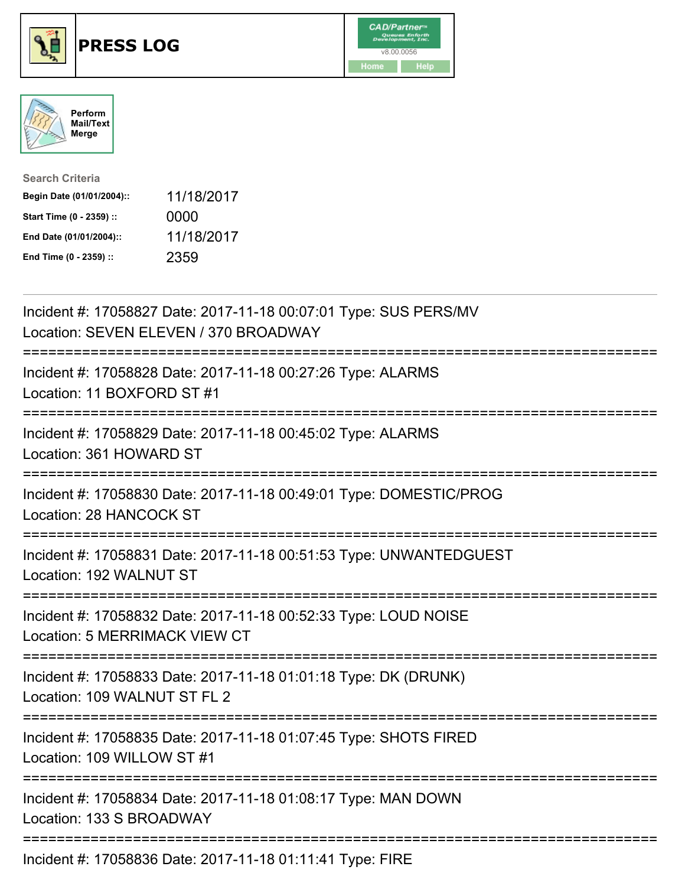





| <b>Search Criteria</b>    |            |
|---------------------------|------------|
| Begin Date (01/01/2004):: | 11/18/2017 |
| Start Time (0 - 2359) ::  | 0000       |
| End Date (01/01/2004)::   | 11/18/2017 |
| End Time (0 - 2359) ::    | 2359       |

| Incident #: 17058827 Date: 2017-11-18 00:07:01 Type: SUS PERS/MV<br>Location: SEVEN ELEVEN / 370 BROADWAY                                        |
|--------------------------------------------------------------------------------------------------------------------------------------------------|
| Incident #: 17058828 Date: 2017-11-18 00:27:26 Type: ALARMS<br>Location: 11 BOXFORD ST #1                                                        |
| Incident #: 17058829 Date: 2017-11-18 00:45:02 Type: ALARMS<br>Location: 361 HOWARD ST                                                           |
| Incident #: 17058830 Date: 2017-11-18 00:49:01 Type: DOMESTIC/PROG<br>Location: 28 HANCOCK ST<br>-------------------                             |
| Incident #: 17058831 Date: 2017-11-18 00:51:53 Type: UNWANTEDGUEST<br>Location: 192 WALNUT ST<br>===================                             |
| Incident #: 17058832 Date: 2017-11-18 00:52:33 Type: LOUD NOISE<br>Location: 5 MERRIMACK VIEW CT<br>----------------<br>------------------------ |
| Incident #: 17058833 Date: 2017-11-18 01:01:18 Type: DK (DRUNK)<br>Location: 109 WALNUT ST FL 2                                                  |
| Incident #: 17058835 Date: 2017-11-18 01:07:45 Type: SHOTS FIRED<br>Location: 109 WILLOW ST #1                                                   |
| Incident #: 17058834 Date: 2017-11-18 01:08:17 Type: MAN DOWN<br>Location: 133 S BROADWAY                                                        |
| ----------------------------------<br>Incident #: 17058836 Date: 2017-11-18 01:11:41 Type: FIRE                                                  |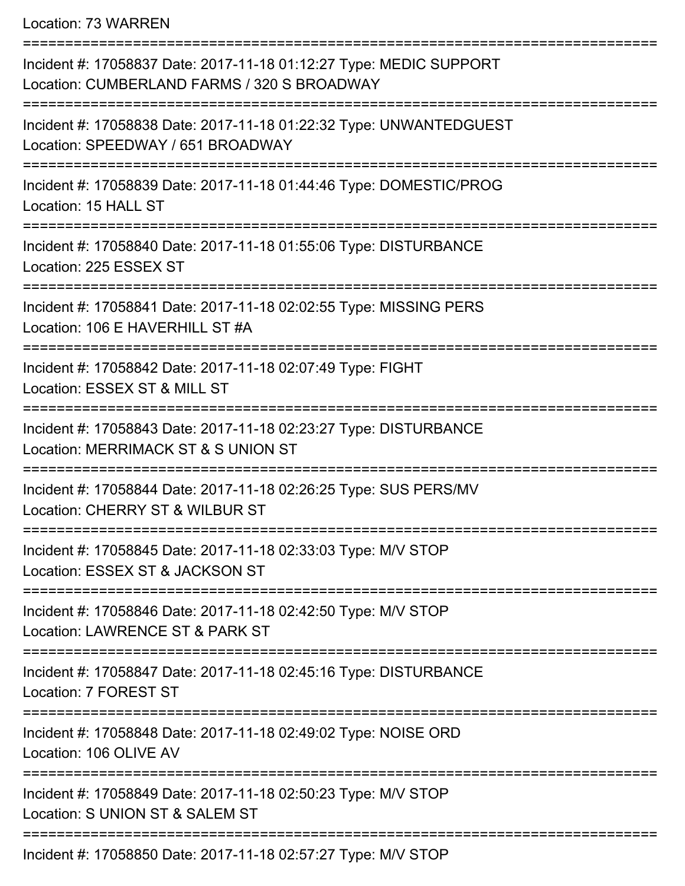Location: 73 WARREN

| Incident #: 17058837 Date: 2017-11-18 01:12:27 Type: MEDIC SUPPORT<br>Location: CUMBERLAND FARMS / 320 S BROADWAY |
|-------------------------------------------------------------------------------------------------------------------|
| Incident #: 17058838 Date: 2017-11-18 01:22:32 Type: UNWANTEDGUEST<br>Location: SPEEDWAY / 651 BROADWAY           |
| Incident #: 17058839 Date: 2017-11-18 01:44:46 Type: DOMESTIC/PROG<br>Location: 15 HALL ST                        |
| Incident #: 17058840 Date: 2017-11-18 01:55:06 Type: DISTURBANCE<br>Location: 225 ESSEX ST                        |
| Incident #: 17058841 Date: 2017-11-18 02:02:55 Type: MISSING PERS<br>Location: 106 E HAVERHILL ST #A              |
| Incident #: 17058842 Date: 2017-11-18 02:07:49 Type: FIGHT<br>Location: ESSEX ST & MILL ST                        |
| Incident #: 17058843 Date: 2017-11-18 02:23:27 Type: DISTURBANCE<br>Location: MERRIMACK ST & S UNION ST           |
| Incident #: 17058844 Date: 2017-11-18 02:26:25 Type: SUS PERS/MV<br>Location: CHERRY ST & WILBUR ST               |
| Incident #: 17058845 Date: 2017-11-18 02:33:03 Type: M/V STOP<br>Location: ESSEX ST & JACKSON ST                  |
| Incident #: 17058846 Date: 2017-11-18 02:42:50 Type: M/V STOP<br>Location: LAWRENCE ST & PARK ST                  |
| Incident #: 17058847 Date: 2017-11-18 02:45:16 Type: DISTURBANCE<br>Location: 7 FOREST ST                         |
| Incident #: 17058848 Date: 2017-11-18 02:49:02 Type: NOISE ORD<br>Location: 106 OLIVE AV                          |
| Incident #: 17058849 Date: 2017-11-18 02:50:23 Type: M/V STOP<br>Location: S UNION ST & SALEM ST                  |
| Incident #: 17058850 Date: 2017-11-18 02:57:27 Type: M/V STOP                                                     |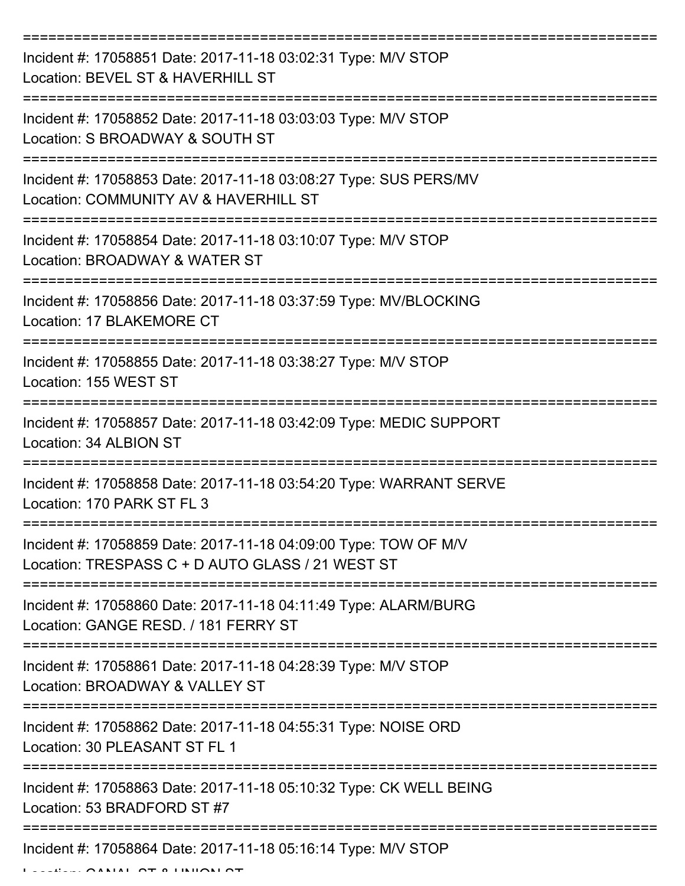| Incident #: 17058851 Date: 2017-11-18 03:02:31 Type: M/V STOP<br>Location: BEVEL ST & HAVERHILL ST                  |
|---------------------------------------------------------------------------------------------------------------------|
| Incident #: 17058852 Date: 2017-11-18 03:03:03 Type: M/V STOP<br>Location: S BROADWAY & SOUTH ST                    |
| Incident #: 17058853 Date: 2017-11-18 03:08:27 Type: SUS PERS/MV<br>Location: COMMUNITY AV & HAVERHILL ST           |
| Incident #: 17058854 Date: 2017-11-18 03:10:07 Type: M/V STOP<br>Location: BROADWAY & WATER ST                      |
| Incident #: 17058856 Date: 2017-11-18 03:37:59 Type: MV/BLOCKING<br>Location: 17 BLAKEMORE CT                       |
| Incident #: 17058855 Date: 2017-11-18 03:38:27 Type: M/V STOP<br>Location: 155 WEST ST                              |
| Incident #: 17058857 Date: 2017-11-18 03:42:09 Type: MEDIC SUPPORT<br>Location: 34 ALBION ST                        |
| Incident #: 17058858 Date: 2017-11-18 03:54:20 Type: WARRANT SERVE<br>Location: 170 PARK ST FL 3                    |
| Incident #: 17058859 Date: 2017-11-18 04:09:00 Type: TOW OF M/V<br>Location: TRESPASS C + D AUTO GLASS / 21 WEST ST |
| Incident #: 17058860 Date: 2017-11-18 04:11:49 Type: ALARM/BURG<br>Location: GANGE RESD. / 181 FERRY ST             |
| Incident #: 17058861 Date: 2017-11-18 04:28:39 Type: M/V STOP<br>Location: BROADWAY & VALLEY ST                     |
| Incident #: 17058862 Date: 2017-11-18 04:55:31 Type: NOISE ORD<br>Location: 30 PLEASANT ST FL 1                     |
| Incident #: 17058863 Date: 2017-11-18 05:10:32 Type: CK WELL BEING<br>Location: 53 BRADFORD ST #7                   |
| Incident #: 17058864 Date: 2017-11-18 05:16:14 Type: M/V STOP                                                       |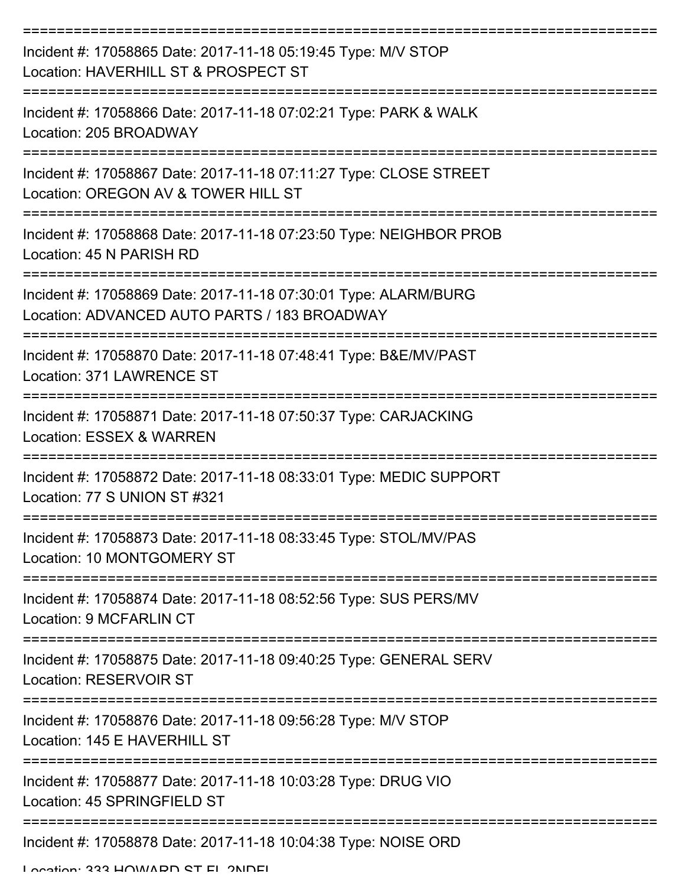| Incident #: 17058865 Date: 2017-11-18 05:19:45 Type: M/V STOP<br>Location: HAVERHILL ST & PROSPECT ST           |
|-----------------------------------------------------------------------------------------------------------------|
| Incident #: 17058866 Date: 2017-11-18 07:02:21 Type: PARK & WALK<br>Location: 205 BROADWAY                      |
| Incident #: 17058867 Date: 2017-11-18 07:11:27 Type: CLOSE STREET<br>Location: OREGON AV & TOWER HILL ST        |
| Incident #: 17058868 Date: 2017-11-18 07:23:50 Type: NEIGHBOR PROB<br>Location: 45 N PARISH RD                  |
| Incident #: 17058869 Date: 2017-11-18 07:30:01 Type: ALARM/BURG<br>Location: ADVANCED AUTO PARTS / 183 BROADWAY |
| Incident #: 17058870 Date: 2017-11-18 07:48:41 Type: B&E/MV/PAST<br>Location: 371 LAWRENCE ST                   |
| Incident #: 17058871 Date: 2017-11-18 07:50:37 Type: CARJACKING<br><b>Location: ESSEX &amp; WARREN</b>          |
| Incident #: 17058872 Date: 2017-11-18 08:33:01 Type: MEDIC SUPPORT<br>Location: 77 S UNION ST #321              |
| Incident #: 17058873 Date: 2017-11-18 08:33:45 Type: STOL/MV/PAS<br>Location: 10 MONTGOMERY ST                  |
| Incident #: 17058874 Date: 2017-11-18 08:52:56 Type: SUS PERS/MV<br><b>Location: 9 MCFARLIN CT</b>              |
| Incident #: 17058875 Date: 2017-11-18 09:40:25 Type: GENERAL SERV<br>Location: RESERVOIR ST                     |
| Incident #: 17058876 Date: 2017-11-18 09:56:28 Type: M/V STOP<br>Location: 145 E HAVERHILL ST                   |
| Incident #: 17058877 Date: 2017-11-18 10:03:28 Type: DRUG VIO<br>Location: 45 SPRINGFIELD ST                    |
| Incident #: 17058878 Date: 2017-11-18 10:04:38 Type: NOISE ORD                                                  |

Location: 333 HOMADD ST EL 2NDEL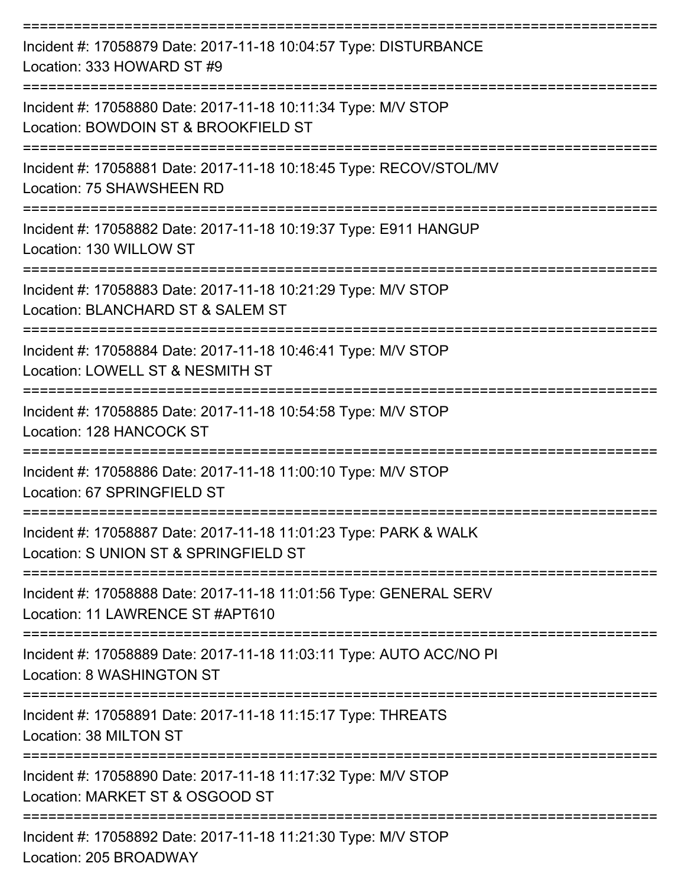| Incident #: 17058879 Date: 2017-11-18 10:04:57 Type: DISTURBANCE<br>Location: 333 HOWARD ST #9            |
|-----------------------------------------------------------------------------------------------------------|
| Incident #: 17058880 Date: 2017-11-18 10:11:34 Type: M/V STOP<br>Location: BOWDOIN ST & BROOKFIELD ST     |
| Incident #: 17058881 Date: 2017-11-18 10:18:45 Type: RECOV/STOL/MV<br>Location: 75 SHAWSHEEN RD           |
| Incident #: 17058882 Date: 2017-11-18 10:19:37 Type: E911 HANGUP<br>Location: 130 WILLOW ST               |
| Incident #: 17058883 Date: 2017-11-18 10:21:29 Type: M/V STOP<br>Location: BLANCHARD ST & SALEM ST        |
| Incident #: 17058884 Date: 2017-11-18 10:46:41 Type: M/V STOP<br>Location: LOWELL ST & NESMITH ST         |
| Incident #: 17058885 Date: 2017-11-18 10:54:58 Type: M/V STOP<br>Location: 128 HANCOCK ST                 |
| Incident #: 17058886 Date: 2017-11-18 11:00:10 Type: M/V STOP<br>Location: 67 SPRINGFIELD ST              |
| Incident #: 17058887 Date: 2017-11-18 11:01:23 Type: PARK & WALK<br>Location: S UNION ST & SPRINGFIELD ST |
| Incident #: 17058888 Date: 2017-11-18 11:01:56 Type: GENERAL SERV<br>Location: 11 LAWRENCE ST #APT610     |
| Incident #: 17058889 Date: 2017-11-18 11:03:11 Type: AUTO ACC/NO PI<br>Location: 8 WASHINGTON ST          |
| Incident #: 17058891 Date: 2017-11-18 11:15:17 Type: THREATS<br>Location: 38 MILTON ST                    |
| Incident #: 17058890 Date: 2017-11-18 11:17:32 Type: M/V STOP<br>Location: MARKET ST & OSGOOD ST          |
| Incident #: 17058892 Date: 2017-11-18 11:21:30 Type: M/V STOP<br>Location: 205 BROADWAY                   |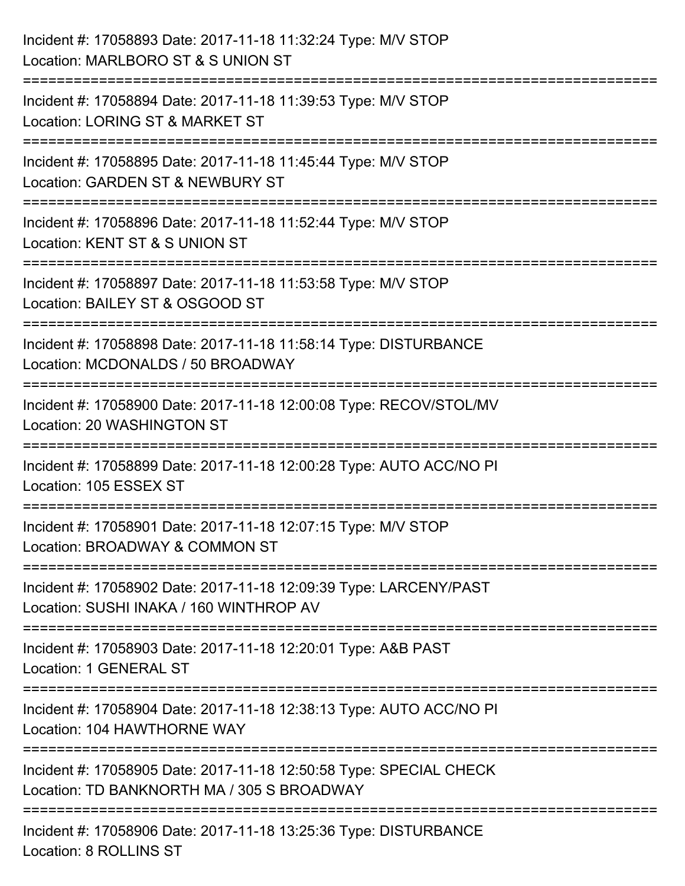| Incident #: 17058893 Date: 2017-11-18 11:32:24 Type: M/V STOP<br>Location: MARLBORO ST & S UNION ST                          |
|------------------------------------------------------------------------------------------------------------------------------|
| .-----------------------<br>Incident #: 17058894 Date: 2017-11-18 11:39:53 Type: M/V STOP<br>Location: LORING ST & MARKET ST |
| Incident #: 17058895 Date: 2017-11-18 11:45:44 Type: M/V STOP<br>Location: GARDEN ST & NEWBURY ST<br>:====================== |
| Incident #: 17058896 Date: 2017-11-18 11:52:44 Type: M/V STOP<br>Location: KENT ST & S UNION ST                              |
| Incident #: 17058897 Date: 2017-11-18 11:53:58 Type: M/V STOP<br>Location: BAILEY ST & OSGOOD ST                             |
| Incident #: 17058898 Date: 2017-11-18 11:58:14 Type: DISTURBANCE<br>Location: MCDONALDS / 50 BROADWAY                        |
| ======================<br>Incident #: 17058900 Date: 2017-11-18 12:00:08 Type: RECOV/STOL/MV<br>Location: 20 WASHINGTON ST   |
| Incident #: 17058899 Date: 2017-11-18 12:00:28 Type: AUTO ACC/NO PI<br>Location: 105 ESSEX ST                                |
| Incident #: 17058901 Date: 2017-11-18 12:07:15 Type: M/V STOP<br>Location: BROADWAY & COMMON ST                              |
| Incident #: 17058902 Date: 2017-11-18 12:09:39 Type: LARCENY/PAST<br>Location: SUSHI INAKA / 160 WINTHROP AV                 |
| Incident #: 17058903 Date: 2017-11-18 12:20:01 Type: A&B PAST<br>Location: 1 GENERAL ST                                      |
| Incident #: 17058904 Date: 2017-11-18 12:38:13 Type: AUTO ACC/NO PI<br>Location: 104 HAWTHORNE WAY                           |
| Incident #: 17058905 Date: 2017-11-18 12:50:58 Type: SPECIAL CHECK<br>Location: TD BANKNORTH MA / 305 S BROADWAY             |
| Incident #: 17058906 Date: 2017-11-18 13:25:36 Type: DISTURBANCE<br>Location: 8 ROLLINS ST                                   |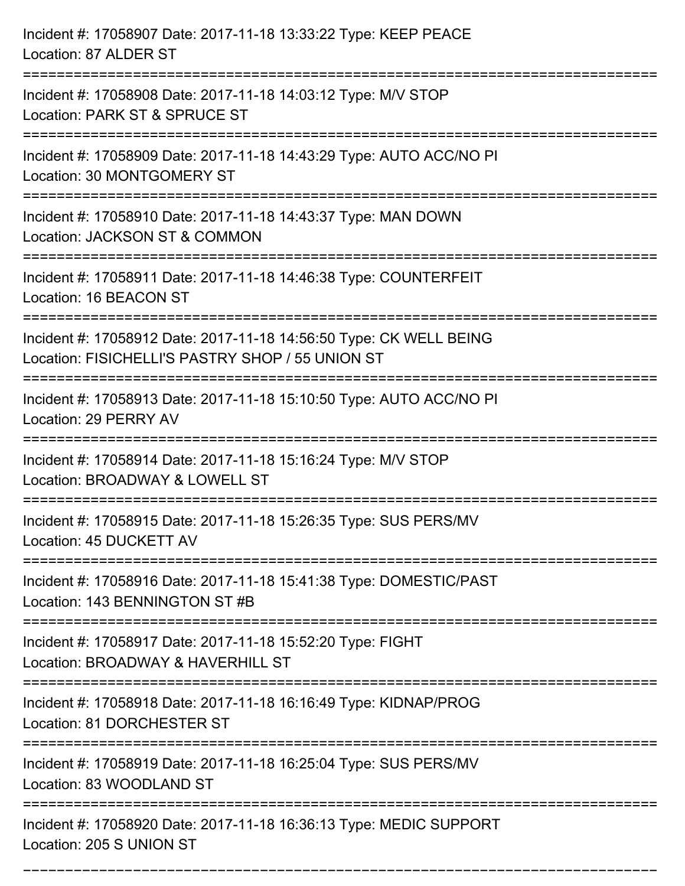| Incident #: 17058907 Date: 2017-11-18 13:33:22 Type: KEEP PEACE<br>Location: 87 ALDER ST                                         |
|----------------------------------------------------------------------------------------------------------------------------------|
| Incident #: 17058908 Date: 2017-11-18 14:03:12 Type: M/V STOP<br>Location: PARK ST & SPRUCE ST                                   |
| Incident #: 17058909 Date: 2017-11-18 14:43:29 Type: AUTO ACC/NO PI<br>Location: 30 MONTGOMERY ST                                |
| Incident #: 17058910 Date: 2017-11-18 14:43:37 Type: MAN DOWN<br>Location: JACKSON ST & COMMON<br>-------------------------      |
| Incident #: 17058911 Date: 2017-11-18 14:46:38 Type: COUNTERFEIT<br>Location: 16 BEACON ST                                       |
| Incident #: 17058912 Date: 2017-11-18 14:56:50 Type: CK WELL BEING<br>Location: FISICHELLI'S PASTRY SHOP / 55 UNION ST           |
| ================================<br>Incident #: 17058913 Date: 2017-11-18 15:10:50 Type: AUTO ACC/NO PI<br>Location: 29 PERRY AV |
| Incident #: 17058914 Date: 2017-11-18 15:16:24 Type: M/V STOP<br>Location: BROADWAY & LOWELL ST                                  |
| Incident #: 17058915 Date: 2017-11-18 15:26:35 Type: SUS PERS/MV<br>Location: 45 DUCKETT AV                                      |
| Incident #: 17058916 Date: 2017-11-18 15:41:38 Type: DOMESTIC/PAST<br>Location: 143 BENNINGTON ST #B                             |
| Incident #: 17058917 Date: 2017-11-18 15:52:20 Type: FIGHT<br>Location: BROADWAY & HAVERHILL ST                                  |
| Incident #: 17058918 Date: 2017-11-18 16:16:49 Type: KIDNAP/PROG<br>Location: 81 DORCHESTER ST                                   |
| Incident #: 17058919 Date: 2017-11-18 16:25:04 Type: SUS PERS/MV<br>Location: 83 WOODLAND ST                                     |
| Incident #: 17058920 Date: 2017-11-18 16:36:13 Type: MEDIC SUPPORT<br>Location: 205 S UNION ST                                   |

===========================================================================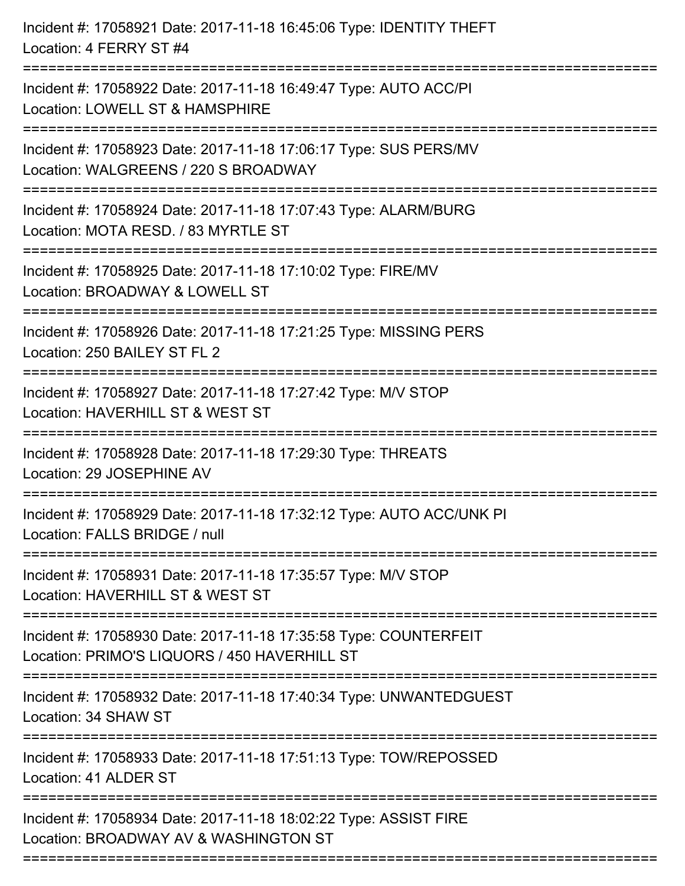| Incident #: 17058921 Date: 2017-11-18 16:45:06 Type: IDENTITY THEFT<br>Location: 4 FERRY ST #4                                    |
|-----------------------------------------------------------------------------------------------------------------------------------|
| Incident #: 17058922 Date: 2017-11-18 16:49:47 Type: AUTO ACC/PI<br>Location: LOWELL ST & HAMSPHIRE<br>--------------------       |
| Incident #: 17058923 Date: 2017-11-18 17:06:17 Type: SUS PERS/MV<br>Location: WALGREENS / 220 S BROADWAY                          |
| Incident #: 17058924 Date: 2017-11-18 17:07:43 Type: ALARM/BURG<br>Location: MOTA RESD. / 83 MYRTLE ST<br>:====================== |
| Incident #: 17058925 Date: 2017-11-18 17:10:02 Type: FIRE/MV<br>Location: BROADWAY & LOWELL ST                                    |
| Incident #: 17058926 Date: 2017-11-18 17:21:25 Type: MISSING PERS<br>Location: 250 BAILEY ST FL 2                                 |
| Incident #: 17058927 Date: 2017-11-18 17:27:42 Type: M/V STOP<br>Location: HAVERHILL ST & WEST ST                                 |
| Incident #: 17058928 Date: 2017-11-18 17:29:30 Type: THREATS<br>Location: 29 JOSEPHINE AV                                         |
| Incident #: 17058929 Date: 2017-11-18 17:32:12 Type: AUTO ACC/UNK PI<br>Location: FALLS BRIDGE / null                             |
| Incident #: 17058931 Date: 2017-11-18 17:35:57 Type: M/V STOP<br>Location: HAVERHILL ST & WEST ST                                 |
| Incident #: 17058930 Date: 2017-11-18 17:35:58 Type: COUNTERFEIT<br>Location: PRIMO'S LIQUORS / 450 HAVERHILL ST                  |
| Incident #: 17058932 Date: 2017-11-18 17:40:34 Type: UNWANTEDGUEST<br>Location: 34 SHAW ST                                        |
| Incident #: 17058933 Date: 2017-11-18 17:51:13 Type: TOW/REPOSSED<br>Location: 41 ALDER ST                                        |
| Incident #: 17058934 Date: 2017-11-18 18:02:22 Type: ASSIST FIRE<br>Location: BROADWAY AV & WASHINGTON ST                         |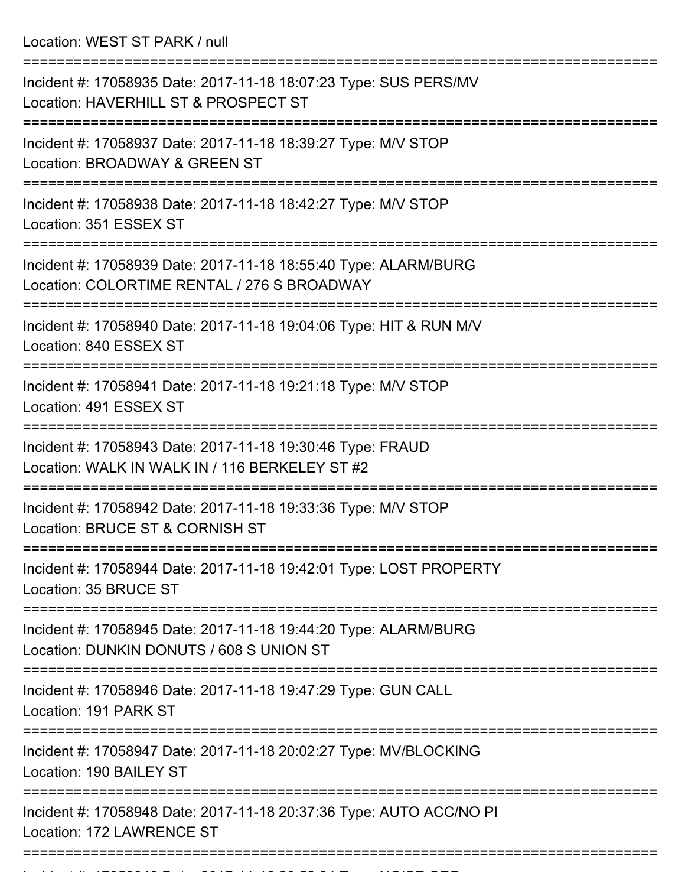Location: WEST ST PARK / null

| Incident #: 17058935 Date: 2017-11-18 18:07:23 Type: SUS PERS/MV<br>Location: HAVERHILL ST & PROSPECT ST       |
|----------------------------------------------------------------------------------------------------------------|
| Incident #: 17058937 Date: 2017-11-18 18:39:27 Type: M/V STOP<br>Location: BROADWAY & GREEN ST                 |
| Incident #: 17058938 Date: 2017-11-18 18:42:27 Type: M/V STOP<br>Location: 351 ESSEX ST                        |
| Incident #: 17058939 Date: 2017-11-18 18:55:40 Type: ALARM/BURG<br>Location: COLORTIME RENTAL / 276 S BROADWAY |
| Incident #: 17058940 Date: 2017-11-18 19:04:06 Type: HIT & RUN M/V<br>Location: 840 ESSEX ST                   |
| Incident #: 17058941 Date: 2017-11-18 19:21:18 Type: M/V STOP<br>Location: 491 ESSEX ST                        |
| Incident #: 17058943 Date: 2017-11-18 19:30:46 Type: FRAUD<br>Location: WALK IN WALK IN / 116 BERKELEY ST #2   |
| Incident #: 17058942 Date: 2017-11-18 19:33:36 Type: M/V STOP<br>Location: BRUCE ST & CORNISH ST               |
| Incident #: 17058944 Date: 2017-11-18 19:42:01 Type: LOST PROPERTY<br>Location: 35 BRUCE ST                    |
| Incident #: 17058945 Date: 2017-11-18 19:44:20 Type: ALARM/BURG<br>Location: DUNKIN DONUTS / 608 S UNION ST    |
| Incident #: 17058946 Date: 2017-11-18 19:47:29 Type: GUN CALL<br>Location: 191 PARK ST                         |
| Incident #: 17058947 Date: 2017-11-18 20:02:27 Type: MV/BLOCKING<br>Location: 190 BAILEY ST                    |
| Incident #: 17058948 Date: 2017-11-18 20:37:36 Type: AUTO ACC/NO PI<br>Location: 172 LAWRENCE ST               |
|                                                                                                                |

Incident #: 17058949 Date: 2017 11 18 20:52:04 Type: NOISE ORD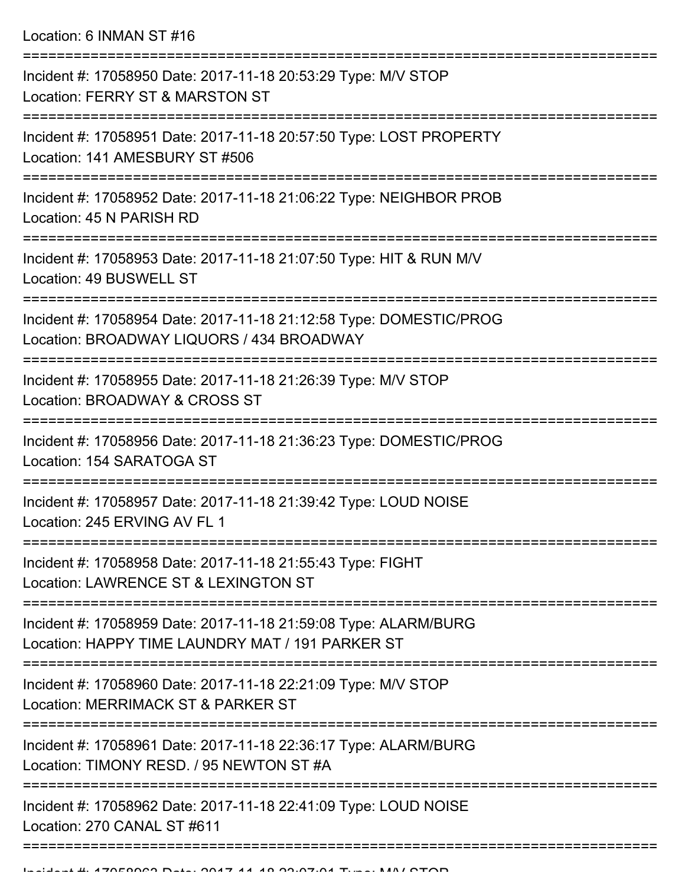| Incident #: 17058950 Date: 2017-11-18 20:53:29 Type: M/V STOP<br>Location: FERRY ST & MARSTON ST                    |
|---------------------------------------------------------------------------------------------------------------------|
| Incident #: 17058951 Date: 2017-11-18 20:57:50 Type: LOST PROPERTY<br>Location: 141 AMESBURY ST #506                |
| Incident #: 17058952 Date: 2017-11-18 21:06:22 Type: NEIGHBOR PROB<br>Location: 45 N PARISH RD                      |
| Incident #: 17058953 Date: 2017-11-18 21:07:50 Type: HIT & RUN M/V<br>Location: 49 BUSWELL ST                       |
| Incident #: 17058954 Date: 2017-11-18 21:12:58 Type: DOMESTIC/PROG<br>Location: BROADWAY LIQUORS / 434 BROADWAY     |
| Incident #: 17058955 Date: 2017-11-18 21:26:39 Type: M/V STOP<br>Location: BROADWAY & CROSS ST                      |
| Incident #: 17058956 Date: 2017-11-18 21:36:23 Type: DOMESTIC/PROG<br>Location: 154 SARATOGA ST                     |
| Incident #: 17058957 Date: 2017-11-18 21:39:42 Type: LOUD NOISE<br>Location: 245 ERVING AV FL 1                     |
| Incident #: 17058958 Date: 2017-11-18 21:55:43 Type: FIGHT<br>Location: LAWRENCE ST & LEXINGTON ST                  |
| Incident #: 17058959 Date: 2017-11-18 21:59:08 Type: ALARM/BURG<br>Location: HAPPY TIME LAUNDRY MAT / 191 PARKER ST |
| Incident #: 17058960 Date: 2017-11-18 22:21:09 Type: M/V STOP<br>Location: MERRIMACK ST & PARKER ST                 |
| Incident #: 17058961 Date: 2017-11-18 22:36:17 Type: ALARM/BURG<br>Location: TIMONY RESD. / 95 NEWTON ST #A         |
| Incident #: 17058962 Date: 2017-11-18 22:41:09 Type: LOUD NOISE<br>Location: 270 CANAL ST #611                      |
|                                                                                                                     |